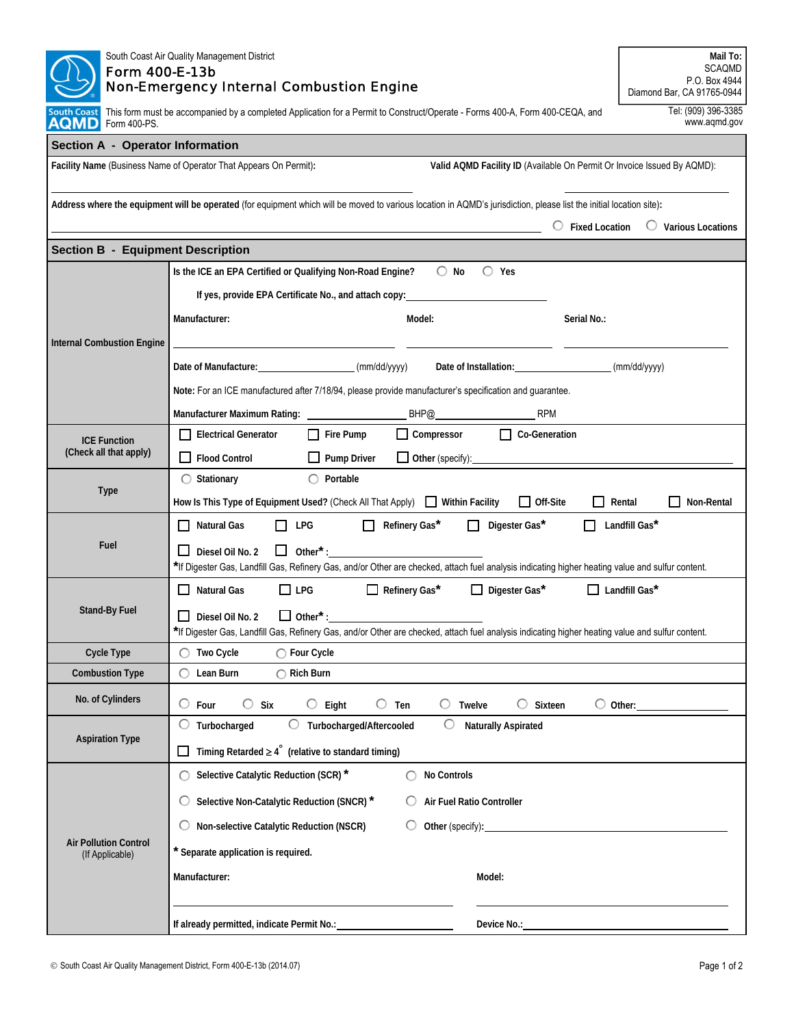| South Coast Air Quality Management District<br><b>Form 400-E-13b</b>                                                                                                                | Mail To:<br><b>SCAQMD</b><br>P.O. Box 4944                                                                                                                                                                                                                                   |                           |  |  |  |  |  |  |  |
|-------------------------------------------------------------------------------------------------------------------------------------------------------------------------------------|------------------------------------------------------------------------------------------------------------------------------------------------------------------------------------------------------------------------------------------------------------------------------|---------------------------|--|--|--|--|--|--|--|
| <b>Non-Emergency Internal Combustion Engine</b>                                                                                                                                     | Diamond Bar, CA 91765-0944<br>Tel: (909) 396-3385                                                                                                                                                                                                                            |                           |  |  |  |  |  |  |  |
| This form must be accompanied by a completed Application for a Permit to Construct/Operate - Forms 400-A, Form 400-CEQA, and<br>South Coast<br>AQMD<br>www.aqmd.gov<br>Form 400-PS. |                                                                                                                                                                                                                                                                              |                           |  |  |  |  |  |  |  |
| <b>Section A - Operator Information</b>                                                                                                                                             |                                                                                                                                                                                                                                                                              |                           |  |  |  |  |  |  |  |
|                                                                                                                                                                                     | Valid AQMD Facility ID (Available On Permit Or Invoice Issued By AQMD):<br>Facility Name (Business Name of Operator That Appears On Permit):                                                                                                                                 |                           |  |  |  |  |  |  |  |
|                                                                                                                                                                                     | Address where the equipment will be operated (for equipment which will be moved to various location in AQMD's jurisdiction, please list the initial location site):<br>$\circ$ Fixed Location                                                                                | $\circ$ Various Locations |  |  |  |  |  |  |  |
| <b>Section B - Equipment Description</b>                                                                                                                                            |                                                                                                                                                                                                                                                                              |                           |  |  |  |  |  |  |  |
|                                                                                                                                                                                     | $\bigcirc$ No<br>$\bigcirc$ Yes<br>Is the ICE an EPA Certified or Qualifying Non-Road Engine?                                                                                                                                                                                |                           |  |  |  |  |  |  |  |
|                                                                                                                                                                                     | If yes, provide EPA Certificate No., and attach copy: 1997                                                                                                                                                                                                                   |                           |  |  |  |  |  |  |  |
|                                                                                                                                                                                     | Manufacturer:<br>Model:<br>Serial No.:                                                                                                                                                                                                                                       |                           |  |  |  |  |  |  |  |
| <b>Internal Combustion Engine</b>                                                                                                                                                   |                                                                                                                                                                                                                                                                              |                           |  |  |  |  |  |  |  |
|                                                                                                                                                                                     | Date of Manufacture: (mm/dd/yyyy)                                                                                                                                                                                                                                            |                           |  |  |  |  |  |  |  |
|                                                                                                                                                                                     | Note: For an ICE manufactured after 7/18/94, please provide manufacturer's specification and guarantee.                                                                                                                                                                      |                           |  |  |  |  |  |  |  |
|                                                                                                                                                                                     | BHP@<br><b>RPM</b>                                                                                                                                                                                                                                                           |                           |  |  |  |  |  |  |  |
| <b>ICE Function</b><br>(Check all that apply)                                                                                                                                       | $\Box$ Compressor<br>Co-Generation<br>$\Box$ Fire Pump<br>Electrical Generator                                                                                                                                                                                               |                           |  |  |  |  |  |  |  |
|                                                                                                                                                                                     | $\Box$ Flood Control<br>$\Box$ Pump Driver<br>Other (specify): example and the state of the state of the state of the state of the state of the state of the state of the state of the state of the state of the state of the state of the state of the state of the state o |                           |  |  |  |  |  |  |  |
|                                                                                                                                                                                     | $\bigcirc$ Portable<br>$\bigcirc$ Stationary                                                                                                                                                                                                                                 |                           |  |  |  |  |  |  |  |
| <b>Type</b>                                                                                                                                                                         | $\Box$ Off-Site<br>How Is This Type of Equipment Used? (Check All That Apply) IV ithin Facility<br>$\Box$ Rental                                                                                                                                                             | Non-Rental                |  |  |  |  |  |  |  |
|                                                                                                                                                                                     | $\Box$ Refinery Gas*<br>$\Box$ Digester Gas*<br>$\Box$ Natural Gas<br>П<br>LPG                                                                                                                                                                                               | $\Box$ Landfill Gas*      |  |  |  |  |  |  |  |
| Fuel                                                                                                                                                                                | $\Box$ Other <sup>*</sup> :<br>Diesel Oil No. 2                                                                                                                                                                                                                              |                           |  |  |  |  |  |  |  |
|                                                                                                                                                                                     | *If Digester Gas, Landfill Gas, Refinery Gas, and/or Other are checked, attach fuel analysis indicating higher heating value and sulfur content.                                                                                                                             |                           |  |  |  |  |  |  |  |
|                                                                                                                                                                                     | $\Box$ LPG<br>$\Box$ Refinery Gas*<br>$\Box$ Digester Gas*<br>$\Box$ Landfill Gas*<br>$\Box$ Natural Gas                                                                                                                                                                     |                           |  |  |  |  |  |  |  |
| <b>Stand-By Fuel</b>                                                                                                                                                                | $\Box$ Diesel Oil No. 2                                                                                                                                                                                                                                                      |                           |  |  |  |  |  |  |  |
| <b>Cycle Type</b>                                                                                                                                                                   | *If Digester Gas, Landfill Gas, Refinery Gas, and/or Other are checked, attach fuel analysis indicating higher heating value and sulfur content.<br>$\bigcirc$ Two Cycle<br>$\bigcirc$ Four Cycle                                                                            |                           |  |  |  |  |  |  |  |
| <b>Combustion Type</b>                                                                                                                                                              | $\bigcirc$ Lean Burn<br>$\bigcirc$ Rich Burn                                                                                                                                                                                                                                 |                           |  |  |  |  |  |  |  |
| No. of Cylinders                                                                                                                                                                    | $\circ$ Four<br>$\circ$ Six<br>$\circ$ Eight<br>$\circ$ Ten<br>$\circ$<br>Twelve<br>$\circ$ Sixteen<br>$\circ$ Other:                                                                                                                                                        |                           |  |  |  |  |  |  |  |
|                                                                                                                                                                                     | $\bigcirc$ Turbocharged<br>◯ Turbocharged/Aftercooled<br>$\circ$<br><b>Naturally Aspirated</b>                                                                                                                                                                               |                           |  |  |  |  |  |  |  |
| <b>Aspiration Type</b>                                                                                                                                                              | $\Box$ Timing Retarded $\geq 4^{\circ}$ (relative to standard timing)                                                                                                                                                                                                        |                           |  |  |  |  |  |  |  |
|                                                                                                                                                                                     | ◯ Selective Catalytic Reduction (SCR) *<br>No Controls<br>∩                                                                                                                                                                                                                  |                           |  |  |  |  |  |  |  |
|                                                                                                                                                                                     | Selective Non-Catalytic Reduction (SNCR) *<br>Air Fuel Ratio Controller                                                                                                                                                                                                      |                           |  |  |  |  |  |  |  |
| <b>Air Pollution Control</b><br>(If Applicable)                                                                                                                                     | Non-selective Catalytic Reduction (NSCR)<br>Other (specify):                                                                                                                                                                                                                 |                           |  |  |  |  |  |  |  |
|                                                                                                                                                                                     | * Separate application is required.                                                                                                                                                                                                                                          |                           |  |  |  |  |  |  |  |
|                                                                                                                                                                                     | Manufacturer:<br>Model:                                                                                                                                                                                                                                                      |                           |  |  |  |  |  |  |  |
|                                                                                                                                                                                     |                                                                                                                                                                                                                                                                              |                           |  |  |  |  |  |  |  |
|                                                                                                                                                                                     | If already permitted, indicate Permit No.: 1996                                                                                                                                                                                                                              |                           |  |  |  |  |  |  |  |